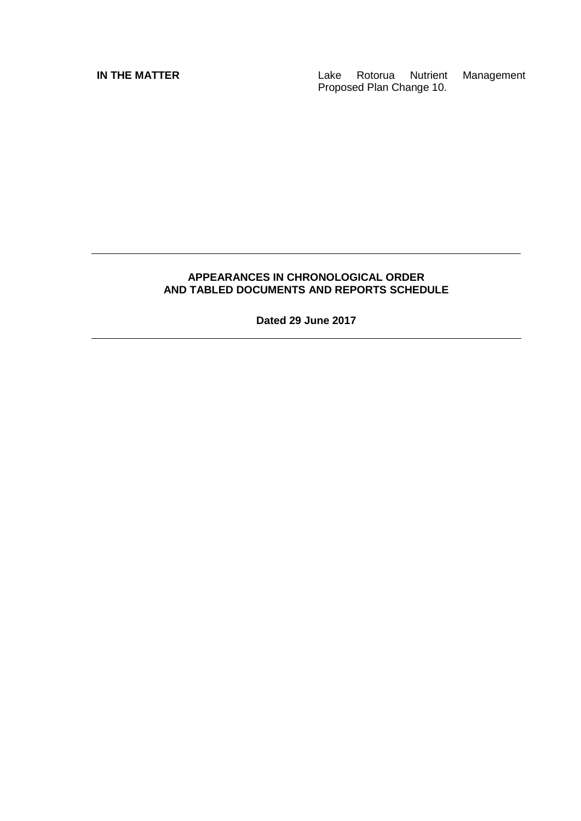**IN THE MATTER IN THE MATTER Lake** Rotorua Nutrient Management Proposed Plan Change 10.

#### **APPEARANCES IN CHRONOLOGICAL ORDER AND TABLED DOCUMENTS AND REPORTS SCHEDULE**

**Dated 29 June 2017**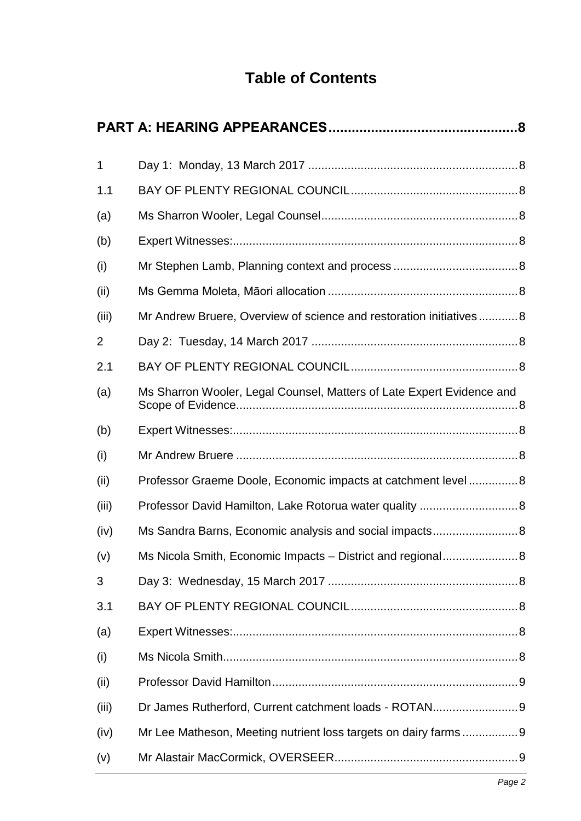# **Table of Contents**

| Mr Andrew Bruere, Overview of science and restoration initiatives8    |
|-----------------------------------------------------------------------|
|                                                                       |
|                                                                       |
| Ms Sharron Wooler, Legal Counsel, Matters of Late Expert Evidence and |
|                                                                       |
|                                                                       |
| Professor Graeme Doole, Economic impacts at catchment level  8        |
| Professor David Hamilton, Lake Rotorua water quality  8               |
| Ms Sandra Barns, Economic analysis and social impacts 8               |
| Ms Nicola Smith, Economic Impacts - District and regional 8           |
|                                                                       |
|                                                                       |
|                                                                       |
|                                                                       |
|                                                                       |
| Dr James Rutherford, Current catchment loads - ROTAN 9                |
| Mr Lee Matheson, Meeting nutrient loss targets on dairy farms 9       |
|                                                                       |
|                                                                       |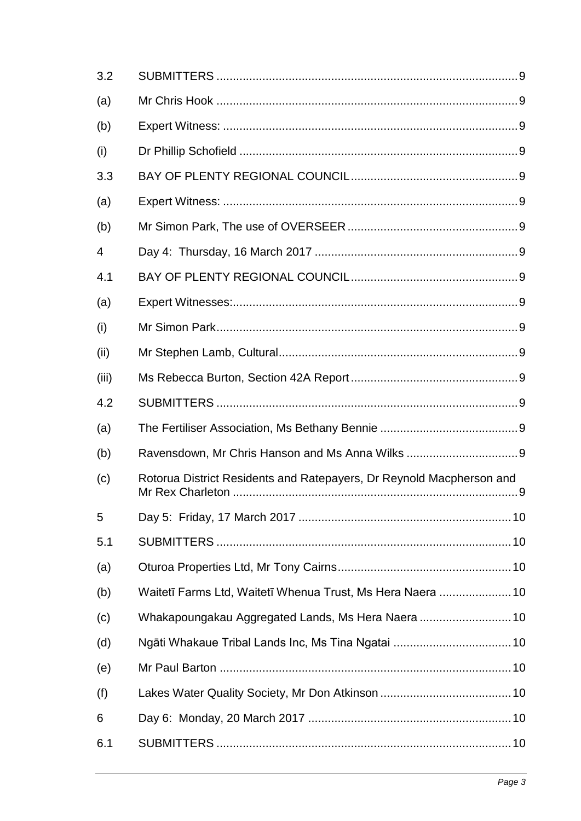| 3.2            |                                                                      |
|----------------|----------------------------------------------------------------------|
| (a)            |                                                                      |
| (b)            |                                                                      |
| (i)            |                                                                      |
| 3.3            |                                                                      |
| (a)            |                                                                      |
| (b)            |                                                                      |
| $\overline{4}$ |                                                                      |
| 4.1            |                                                                      |
| (a)            |                                                                      |
| (i)            |                                                                      |
| (ii)           |                                                                      |
| (iii)          |                                                                      |
| 4.2            |                                                                      |
| (a)            |                                                                      |
| (b)            |                                                                      |
| (c)            | Rotorua District Residents and Ratepayers, Dr Reynold Macpherson and |
| 5              |                                                                      |
| 5.1            |                                                                      |
| (a)            |                                                                      |
| (b)            | Waitetī Farms Ltd, Waitetī Whenua Trust, Ms Hera Naera 10            |
| (c)            | Whakapoungakau Aggregated Lands, Ms Hera Naera 10                    |
| (d)            |                                                                      |
| (e)            |                                                                      |
| (f)            |                                                                      |
| 6              |                                                                      |
| 6.1            |                                                                      |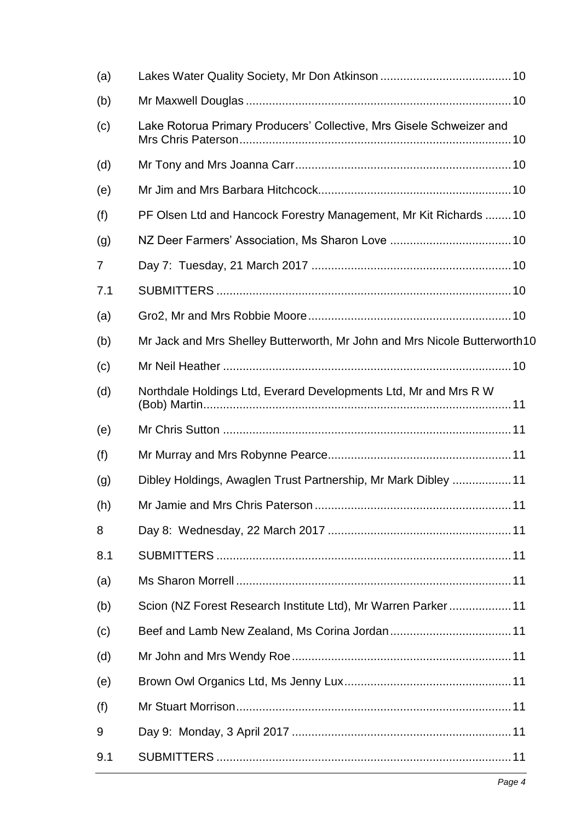| (a) |                                                                            |
|-----|----------------------------------------------------------------------------|
| (b) |                                                                            |
| (c) | Lake Rotorua Primary Producers' Collective, Mrs Gisele Schweizer and       |
| (d) |                                                                            |
| (e) |                                                                            |
| (f) | PF Olsen Ltd and Hancock Forestry Management, Mr Kit Richards 10           |
| (g) |                                                                            |
| 7   |                                                                            |
| 7.1 |                                                                            |
| (a) |                                                                            |
| (b) | Mr Jack and Mrs Shelley Butterworth, Mr John and Mrs Nicole Butterworth 10 |
| (c) |                                                                            |
| (d) | Northdale Holdings Ltd, Everard Developments Ltd, Mr and Mrs R W           |
| (e) |                                                                            |
| (f) |                                                                            |
| (g) | Dibley Holdings, Awaglen Trust Partnership, Mr Mark Dibley 11              |
| (h) |                                                                            |
| 8   |                                                                            |
| 8.1 |                                                                            |
| (a) |                                                                            |
| (b) | Scion (NZ Forest Research Institute Ltd), Mr Warren Parker11               |
| (c) |                                                                            |
| (d) |                                                                            |
| (e) |                                                                            |
| (f) |                                                                            |
| 9   |                                                                            |
| 9.1 |                                                                            |
|     |                                                                            |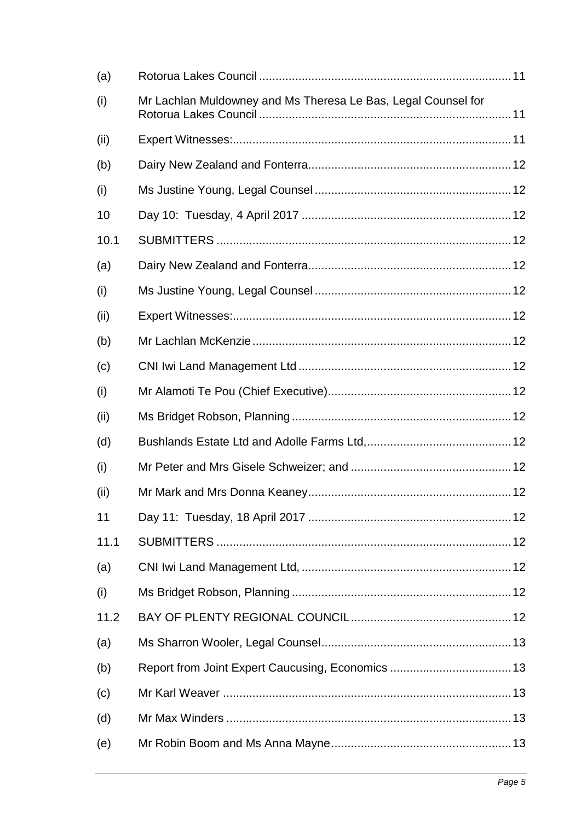| (a)  |                                                               |
|------|---------------------------------------------------------------|
| (i)  | Mr Lachlan Muldowney and Ms Theresa Le Bas, Legal Counsel for |
| (ii) |                                                               |
| (b)  |                                                               |
| (i)  |                                                               |
| 10   |                                                               |
| 10.1 |                                                               |
| (a)  |                                                               |
| (i)  |                                                               |
| (ii) |                                                               |
| (b)  |                                                               |
| (c)  |                                                               |
| (i)  |                                                               |
| (ii) |                                                               |
| (d)  |                                                               |
| (i)  |                                                               |
| (ii) |                                                               |
| 11   |                                                               |
| 11.1 |                                                               |
| (a)  |                                                               |
| (i)  |                                                               |
| 11.2 |                                                               |
| (a)  |                                                               |
| (b)  |                                                               |
| (c)  |                                                               |
| (d)  |                                                               |
| (e)  |                                                               |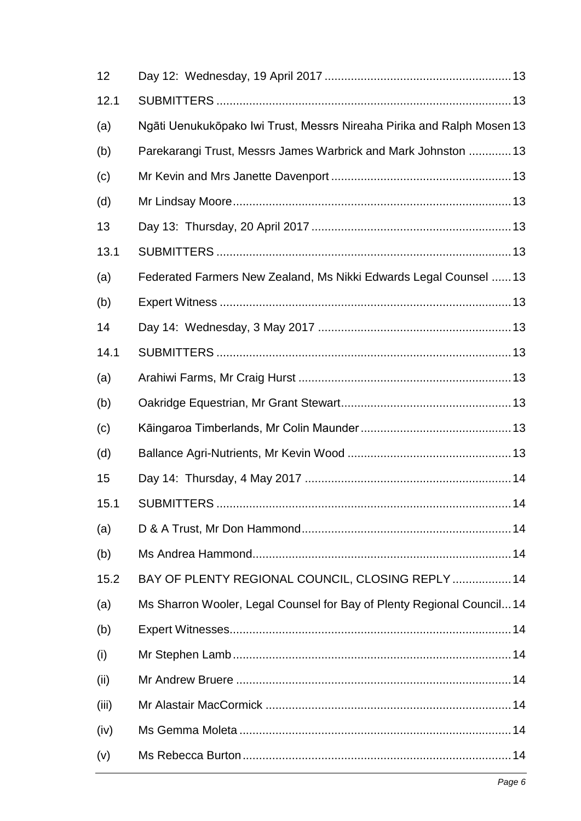| Ngāti Uenukukōpako Iwi Trust, Messrs Nireaha Pirika and Ralph Mosen 13 |  |
|------------------------------------------------------------------------|--|
| Parekarangi Trust, Messrs James Warbrick and Mark Johnston 13          |  |
|                                                                        |  |
|                                                                        |  |
|                                                                        |  |
|                                                                        |  |
| Federated Farmers New Zealand, Ms Nikki Edwards Legal Counsel  13      |  |
|                                                                        |  |
|                                                                        |  |
|                                                                        |  |
|                                                                        |  |
|                                                                        |  |
|                                                                        |  |
|                                                                        |  |
|                                                                        |  |
|                                                                        |  |
|                                                                        |  |
|                                                                        |  |
| BAY OF PLENTY REGIONAL COUNCIL, CLOSING REPLY  14                      |  |
| Ms Sharron Wooler, Legal Counsel for Bay of Plenty Regional Council 14 |  |
|                                                                        |  |
|                                                                        |  |
|                                                                        |  |
|                                                                        |  |
|                                                                        |  |
|                                                                        |  |
|                                                                        |  |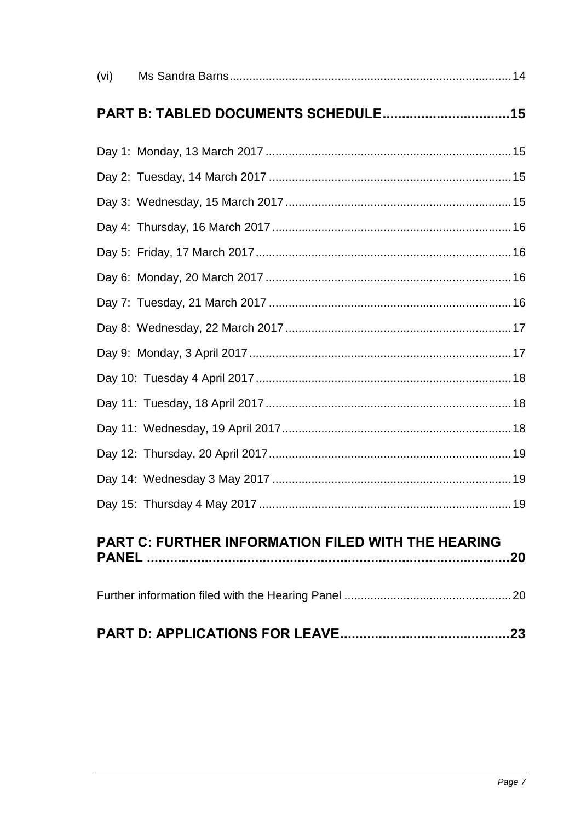| (vi) |                                                           |
|------|-----------------------------------------------------------|
|      |                                                           |
|      |                                                           |
|      |                                                           |
|      |                                                           |
|      |                                                           |
|      |                                                           |
|      |                                                           |
|      |                                                           |
|      |                                                           |
|      |                                                           |
|      |                                                           |
|      |                                                           |
|      |                                                           |
|      |                                                           |
|      |                                                           |
|      |                                                           |
|      | <b>PART C: FURTHER INFORMATION FILED WITH THE HEARING</b> |
|      |                                                           |
|      |                                                           |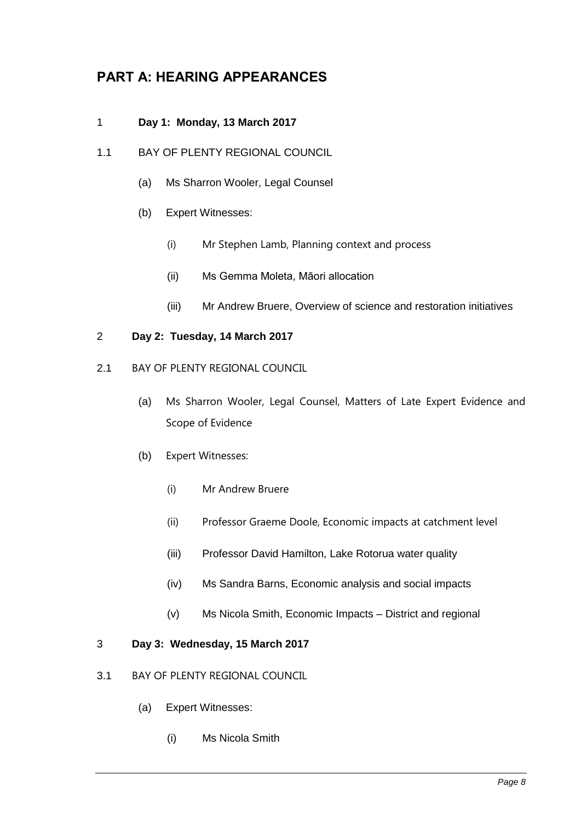## <span id="page-7-0"></span>**PART A: HEARING APPEARANCES**

#### <span id="page-7-1"></span>1 **Day 1: Monday, 13 March 2017**

- <span id="page-7-5"></span><span id="page-7-4"></span><span id="page-7-3"></span><span id="page-7-2"></span>1.1 BAY OF PLENTY REGIONAL COUNCIL
	- (a) Ms Sharron Wooler, Legal Counsel
	- (b) Expert Witnesses:
		- (i) Mr Stephen Lamb, Planning context and process
		- (ii) Ms Gemma Moleta, Māori allocation
		- (iii) Mr Andrew Bruere, Overview of science and restoration initiatives

#### <span id="page-7-8"></span><span id="page-7-7"></span><span id="page-7-6"></span>2 **Day 2: Tuesday, 14 March 2017**

- <span id="page-7-12"></span><span id="page-7-11"></span><span id="page-7-10"></span><span id="page-7-9"></span>2.1 BAY OF PLENTY REGIONAL COUNCIL
	- (a) Ms Sharron Wooler, Legal Counsel, Matters of Late Expert Evidence and Scope of Evidence
	- (b) Expert Witnesses:
		- (i) Mr Andrew Bruere
		- (ii) Professor Graeme Doole, Economic impacts at catchment level
		- (iii) Professor David Hamilton, Lake Rotorua water quality
		- (iv) Ms Sandra Barns, Economic analysis and social impacts
		- (v) Ms Nicola Smith, Economic Impacts District and regional

#### <span id="page-7-17"></span><span id="page-7-16"></span><span id="page-7-15"></span><span id="page-7-14"></span><span id="page-7-13"></span>3 **Day 3: Wednesday, 15 March 2017**

- <span id="page-7-20"></span><span id="page-7-19"></span><span id="page-7-18"></span>3.1 BAY OF PLENTY REGIONAL COUNCIL
	- (a) Expert Witnesses:
		- (i) Ms Nicola Smith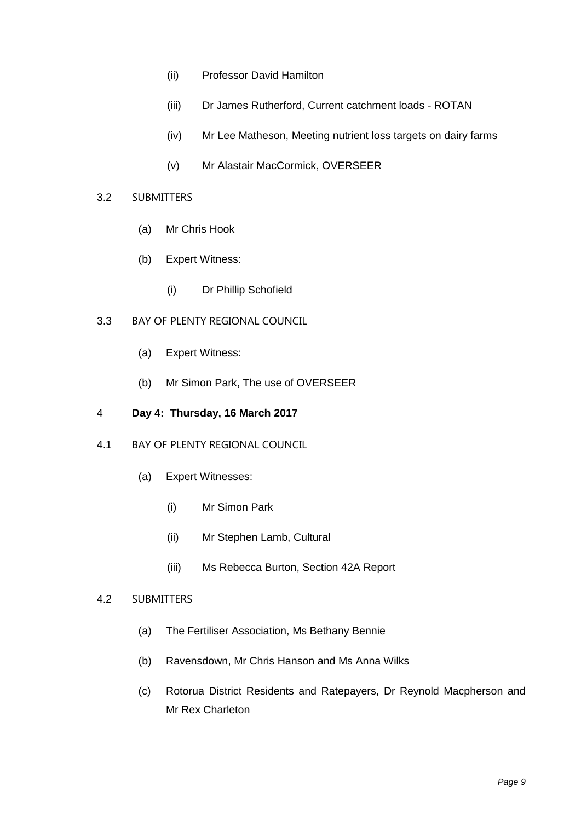- <span id="page-8-0"></span>(ii) Professor David Hamilton
- <span id="page-8-1"></span>(iii) Dr James Rutherford, Current catchment loads - ROTAN
- (iv) Mr Lee Matheson, Meeting nutrient loss targets on dairy farms
- (v) Mr Alastair MacCormick, OVERSEER

#### <span id="page-8-5"></span><span id="page-8-4"></span><span id="page-8-3"></span><span id="page-8-2"></span>3.2 SUBMITTERS

- (a) Mr Chris Hook
- <span id="page-8-6"></span>(b) Expert Witness:
	- (i) Dr Phillip Schofield

#### <span id="page-8-9"></span><span id="page-8-8"></span><span id="page-8-7"></span>3.3 BAY OF PLENTY REGIONAL COUNCIL

- (a) Expert Witness:
- (b) Mr Simon Park, The use of OVERSEER

#### <span id="page-8-11"></span><span id="page-8-10"></span>4 **Day 4: Thursday, 16 March 2017**

- <span id="page-8-14"></span><span id="page-8-13"></span><span id="page-8-12"></span>4.1 BAY OF PLENTY REGIONAL COUNCIL
	- (a) Expert Witnesses:
		- (i) Mr Simon Park
		- (ii) Mr Stephen Lamb, Cultural
		- (iii) Ms Rebecca Burton, Section 42A Report

#### <span id="page-8-18"></span><span id="page-8-17"></span><span id="page-8-16"></span><span id="page-8-15"></span>4.2 SUBMITTERS

- (a) The Fertiliser Association, Ms Bethany Bennie
- <span id="page-8-19"></span>(b) Ravensdown, Mr Chris Hanson and Ms Anna Wilks
- <span id="page-8-20"></span>(c) Rotorua District Residents and Ratepayers, Dr Reynold Macpherson and Mr Rex Charleton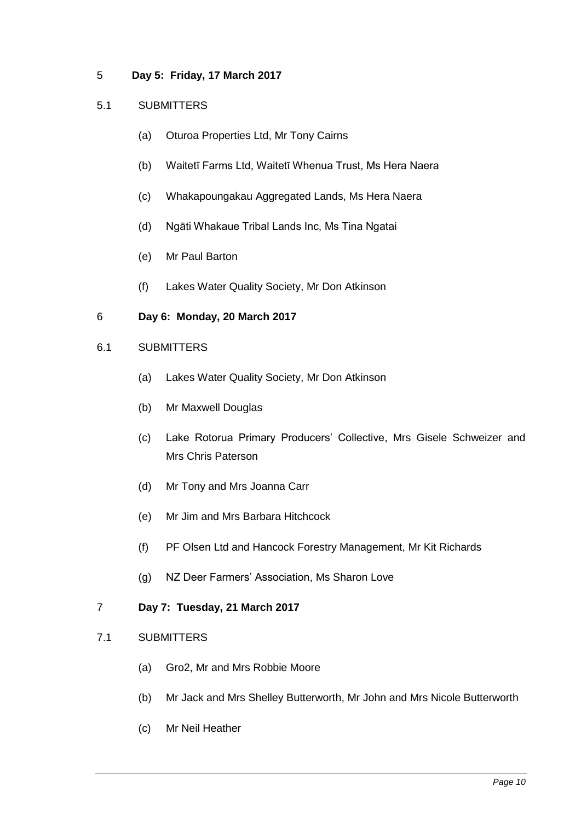#### <span id="page-9-0"></span>5 **Day 5: Friday, 17 March 2017**

#### <span id="page-9-2"></span><span id="page-9-1"></span>5.1 SUBMITTERS

- (a) Oturoa Properties Ltd, Mr Tony Cairns
- <span id="page-9-3"></span>(b) Waitetī Farms Ltd, Waitetī Whenua Trust, Ms Hera Naera
- <span id="page-9-4"></span>(c) Whakapoungakau Aggregated Lands, Ms Hera Naera
- <span id="page-9-5"></span>(d) Ngāti Whakaue Tribal Lands Inc, Ms Tina Ngatai
- <span id="page-9-6"></span>(e) Mr Paul Barton
- (f) Lakes Water Quality Society, Mr Don Atkinson

#### <span id="page-9-8"></span><span id="page-9-7"></span>6 **Day 6: Monday, 20 March 2017**

- <span id="page-9-12"></span><span id="page-9-11"></span><span id="page-9-10"></span><span id="page-9-9"></span>6.1 SUBMITTERS
	- (a) Lakes Water Quality Society, Mr Don Atkinson
	- (b) Mr Maxwell Douglas
	- (c) Lake Rotorua Primary Producers' Collective, Mrs Gisele Schweizer and Mrs Chris Paterson
	- (d) Mr Tony and Mrs Joanna Carr
	- (e) Mr Jim and Mrs Barbara Hitchcock
	- (f) PF Olsen Ltd and Hancock Forestry Management, Mr Kit Richards
	- (g) NZ Deer Farmers' Association, Ms Sharon Love

#### <span id="page-9-17"></span><span id="page-9-16"></span><span id="page-9-15"></span><span id="page-9-14"></span><span id="page-9-13"></span>7 **Day 7: Tuesday, 21 March 2017**

- <span id="page-9-21"></span><span id="page-9-20"></span><span id="page-9-19"></span><span id="page-9-18"></span>7.1 SUBMITTERS
	- (a) Gro2, Mr and Mrs Robbie Moore
	- (b) Mr Jack and Mrs Shelley Butterworth, Mr John and Mrs Nicole Butterworth
	- (c) Mr Neil Heather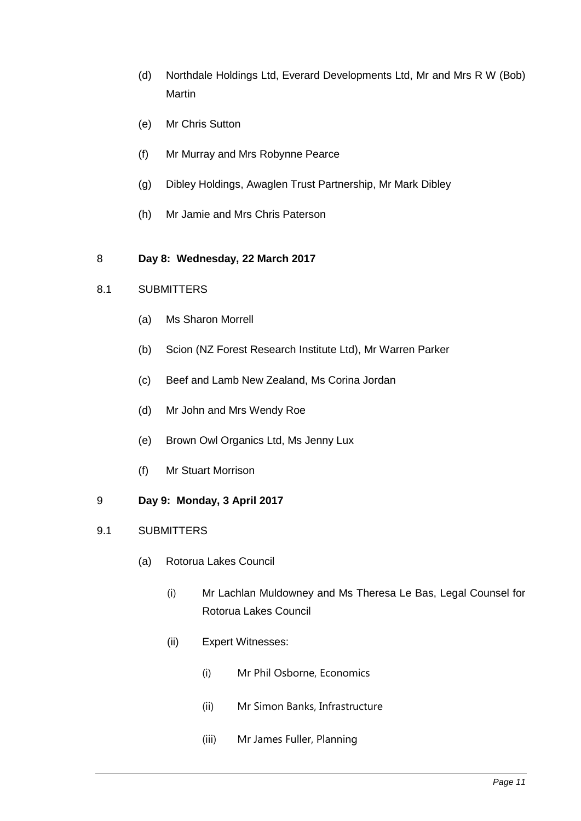- <span id="page-10-0"></span>(d) Northdale Holdings Ltd, Everard Developments Ltd, Mr and Mrs R W (Bob) Martin
- <span id="page-10-1"></span>(e) Mr Chris Sutton
- <span id="page-10-2"></span>(f) Mr Murray and Mrs Robynne Pearce
- <span id="page-10-3"></span>(g) Dibley Holdings, Awaglen Trust Partnership, Mr Mark Dibley
- <span id="page-10-4"></span>(h) Mr Jamie and Mrs Chris Paterson

#### <span id="page-10-5"></span>8 **Day 8: Wednesday, 22 March 2017**

#### <span id="page-10-7"></span><span id="page-10-6"></span>8.1 SUBMITTERS

- (a) Ms Sharon Morrell
- <span id="page-10-8"></span>(b) Scion (NZ Forest Research Institute Ltd), Mr Warren Parker
- <span id="page-10-9"></span>(c) Beef and Lamb New Zealand, Ms Corina Jordan
- <span id="page-10-10"></span>(d) Mr John and Mrs Wendy Roe
- <span id="page-10-11"></span>(e) Brown Owl Organics Ltd, Ms Jenny Lux
- (f) Mr Stuart Morrison
- <span id="page-10-13"></span><span id="page-10-12"></span>9 **Day 9: Monday, 3 April 2017**
- <span id="page-10-17"></span><span id="page-10-16"></span><span id="page-10-15"></span><span id="page-10-14"></span>9.1 SUBMITTERS
	- (a) Rotorua Lakes Council
		- (i) Mr Lachlan Muldowney and Ms Theresa Le Bas, Legal Counsel for Rotorua Lakes Council
		- (ii) Expert Witnesses:
			- (i) Mr Phil Osborne, Economics
			- (ii) Mr Simon Banks, Infrastructure
			- (iii) Mr James Fuller, Planning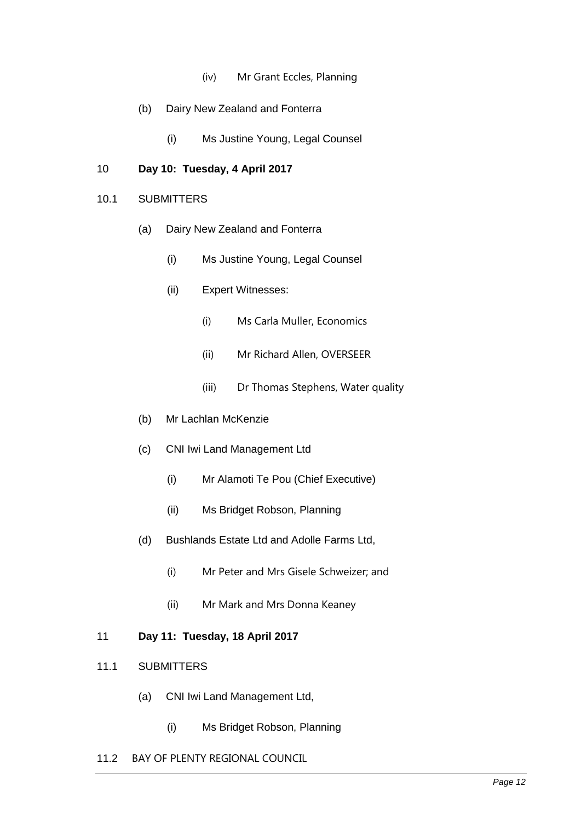- (iv) Mr Grant Eccles, Planning
- <span id="page-11-0"></span>(b) Dairy New Zealand and Fonterra
	- (i) Ms Justine Young, Legal Counsel

#### <span id="page-11-2"></span><span id="page-11-1"></span>10 **Day 10: Tuesday, 4 April 2017**

#### <span id="page-11-4"></span><span id="page-11-3"></span>10.1 SUBMITTERS

- <span id="page-11-6"></span><span id="page-11-5"></span>(a) Dairy New Zealand and Fonterra
	- (i) Ms Justine Young, Legal Counsel
	- (ii) Expert Witnesses:
		- (i) Ms Carla Muller, Economics
		- (ii) Mr Richard Allen, OVERSEER
		- (iii) Dr Thomas Stephens, Water quality
- <span id="page-11-7"></span>(b) Mr Lachlan McKenzie
- <span id="page-11-9"></span><span id="page-11-8"></span>(c) CNI Iwi Land Management Ltd
	- (i) Mr Alamoti Te Pou (Chief Executive)
	- (ii) Ms Bridget Robson, Planning
- <span id="page-11-12"></span><span id="page-11-11"></span><span id="page-11-10"></span>(d) Bushlands Estate Ltd and Adolle Farms Ltd,
	- (i) Mr Peter and Mrs Gisele Schweizer; and
	- (ii) Mr Mark and Mrs Donna Keaney
- <span id="page-11-14"></span><span id="page-11-13"></span>11 **Day 11: Tuesday, 18 April 2017**
- <span id="page-11-16"></span><span id="page-11-15"></span>11.1 SUBMITTERS
	- (a) CNI Iwi Land Management Ltd,
		- (i) Ms Bridget Robson, Planning
- <span id="page-11-18"></span><span id="page-11-17"></span>11.2 BAY OF PLENTY REGIONAL COUNCIL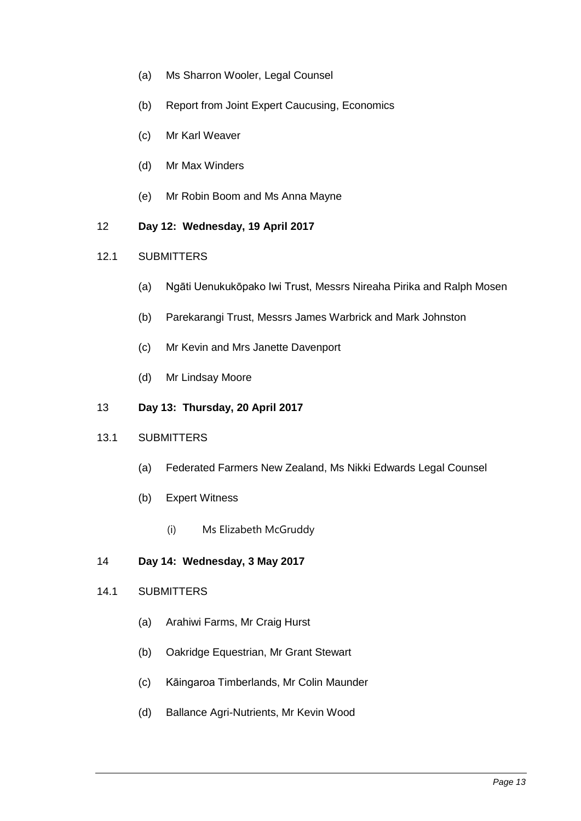- <span id="page-12-0"></span>(a) Ms Sharron Wooler, Legal Counsel
- <span id="page-12-1"></span>(b) Report from Joint Expert Caucusing, Economics
- <span id="page-12-2"></span>(c) Mr Karl Weaver
- <span id="page-12-3"></span>(d) Mr Max Winders
- (e) Mr Robin Boom and Ms Anna Mayne
- <span id="page-12-5"></span><span id="page-12-4"></span>12 **Day 12: Wednesday, 19 April 2017**

#### <span id="page-12-7"></span><span id="page-12-6"></span>12.1 SUBMITTERS

- (a) Ngāti Uenukukōpako Iwi Trust, Messrs Nireaha Pirika and Ralph Mosen
- <span id="page-12-8"></span>(b) Parekarangi Trust, Messrs James Warbrick and Mark Johnston
- <span id="page-12-9"></span>(c) Mr Kevin and Mrs Janette Davenport
- (d) Mr Lindsay Moore
- <span id="page-12-11"></span><span id="page-12-10"></span>13 **Day 13: Thursday, 20 April 2017**

#### <span id="page-12-13"></span><span id="page-12-12"></span>13.1 SUBMITTERS

- (a) Federated Farmers New Zealand, Ms Nikki Edwards Legal Counsel
- <span id="page-12-14"></span>(b) Expert Witness
	- (i) Ms Elizabeth McGruddy

#### <span id="page-12-15"></span>14 **Day 14: Wednesday, 3 May 2017**

#### <span id="page-12-17"></span><span id="page-12-16"></span>14.1 SUBMITTERS

- (a) Arahiwi Farms, Mr Craig Hurst
- <span id="page-12-18"></span>(b) Oakridge Equestrian, Mr Grant Stewart
- <span id="page-12-19"></span>(c) Kāingaroa Timberlands, Mr Colin Maunder
- <span id="page-12-20"></span>(d) Ballance Agri-Nutrients, Mr Kevin Wood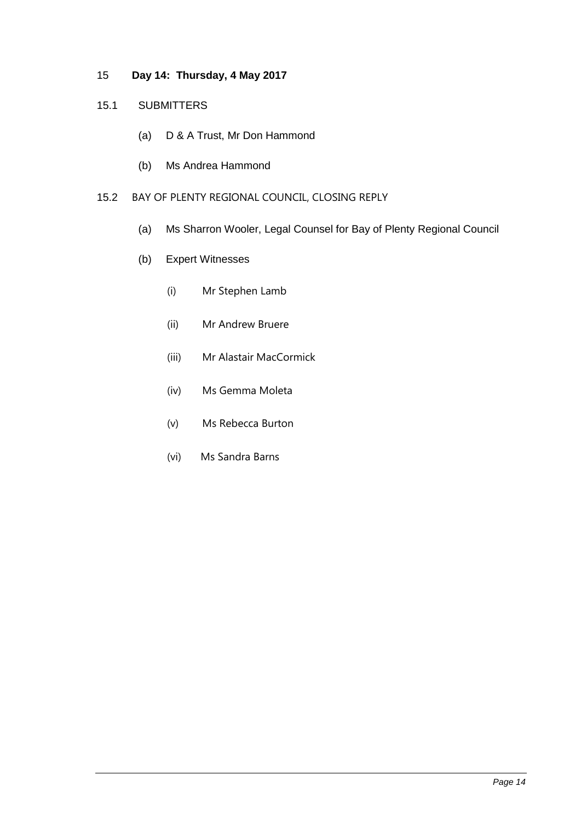#### <span id="page-13-0"></span>15 **Day 14: Thursday, 4 May 2017**

#### <span id="page-13-2"></span><span id="page-13-1"></span>15.1 SUBMITTERS

- (a) D & A Trust, Mr Don Hammond
- (b) Ms Andrea Hammond

#### <span id="page-13-5"></span><span id="page-13-4"></span><span id="page-13-3"></span>15.2 BAY OF PLENTY REGIONAL COUNCIL, CLOSING REPLY

- (a) Ms Sharron Wooler, Legal Counsel for Bay of Plenty Regional Council
- <span id="page-13-12"></span><span id="page-13-11"></span><span id="page-13-10"></span><span id="page-13-9"></span><span id="page-13-8"></span><span id="page-13-7"></span><span id="page-13-6"></span>(b) Expert Witnesses
	- (i) Mr Stephen Lamb
	- (ii) Mr Andrew Bruere
	- (iii) Mr Alastair MacCormick
	- (iv) Ms Gemma Moleta
	- (v) Ms Rebecca Burton
	- (vi) Ms Sandra Barns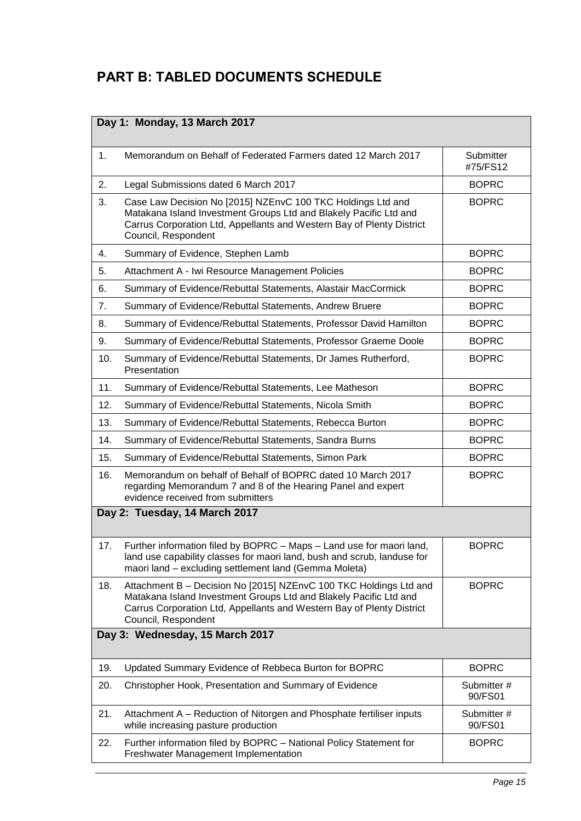# <span id="page-14-0"></span>**PART B: TABLED DOCUMENTS SCHEDULE**

<span id="page-14-3"></span><span id="page-14-2"></span><span id="page-14-1"></span>

| Day 1: Monday, 13 March 2017 |                                                                                                                                                                                                                                        |                        |
|------------------------------|----------------------------------------------------------------------------------------------------------------------------------------------------------------------------------------------------------------------------------------|------------------------|
| 1.                           | Memorandum on Behalf of Federated Farmers dated 12 March 2017                                                                                                                                                                          | Submitter<br>#75/FS12  |
| 2.                           | Legal Submissions dated 6 March 2017                                                                                                                                                                                                   | <b>BOPRC</b>           |
| 3.                           | Case Law Decision No [2015] NZEnvC 100 TKC Holdings Ltd and<br>Matakana Island Investment Groups Ltd and Blakely Pacific Ltd and<br>Carrus Corporation Ltd, Appellants and Western Bay of Plenty District<br>Council, Respondent       | <b>BOPRC</b>           |
| 4.                           | Summary of Evidence, Stephen Lamb                                                                                                                                                                                                      | <b>BOPRC</b>           |
| 5.                           | Attachment A - Iwi Resource Management Policies                                                                                                                                                                                        | <b>BOPRC</b>           |
| 6.                           | Summary of Evidence/Rebuttal Statements, Alastair MacCormick                                                                                                                                                                           | <b>BOPRC</b>           |
| 7.                           | Summary of Evidence/Rebuttal Statements, Andrew Bruere                                                                                                                                                                                 | <b>BOPRC</b>           |
| 8.                           | Summary of Evidence/Rebuttal Statements, Professor David Hamilton                                                                                                                                                                      | <b>BOPRC</b>           |
| 9.                           | Summary of Evidence/Rebuttal Statements, Professor Graeme Doole                                                                                                                                                                        | <b>BOPRC</b>           |
| 10.                          | Summary of Evidence/Rebuttal Statements, Dr James Rutherford,<br>Presentation                                                                                                                                                          | <b>BOPRC</b>           |
| 11.                          | Summary of Evidence/Rebuttal Statements, Lee Matheson                                                                                                                                                                                  | <b>BOPRC</b>           |
| 12.                          | Summary of Evidence/Rebuttal Statements, Nicola Smith                                                                                                                                                                                  | <b>BOPRC</b>           |
| 13.                          | Summary of Evidence/Rebuttal Statements, Rebecca Burton                                                                                                                                                                                | <b>BOPRC</b>           |
| 14.                          | Summary of Evidence/Rebuttal Statements, Sandra Burns                                                                                                                                                                                  | <b>BOPRC</b>           |
| 15.                          | Summary of Evidence/Rebuttal Statements, Simon Park                                                                                                                                                                                    | <b>BOPRC</b>           |
| 16.                          | Memorandum on behalf of Behalf of BOPRC dated 10 March 2017<br>regarding Memorandum 7 and 8 of the Hearing Panel and expert<br>evidence received from submitters                                                                       | <b>BOPRC</b>           |
|                              | Day 2: Tuesday, 14 March 2017                                                                                                                                                                                                          |                        |
| 17.                          | Further information filed by BOPRC - Maps - Land use for maori land,<br>land use capability classes for maori land, bush and scrub, landuse for<br>maori land - excluding settlement land (Gemma Moleta)                               | <b>BOPRC</b>           |
| 18.                          | Attachment B - Decision No [2015] NZEnvC 100 TKC Holdings Ltd and<br>Matakana Island Investment Groups Ltd and Blakely Pacific Ltd and<br>Carrus Corporation Ltd, Appellants and Western Bay of Plenty District<br>Council, Respondent | <b>BOPRC</b>           |
|                              | Day 3: Wednesday, 15 March 2017                                                                                                                                                                                                        |                        |
| 19.                          | Updated Summary Evidence of Rebbeca Burton for BOPRC                                                                                                                                                                                   | <b>BOPRC</b>           |
| 20.                          | Christopher Hook, Presentation and Summary of Evidence                                                                                                                                                                                 | Submitter#<br>90/FS01  |
| 21.                          | Attachment A - Reduction of Nitorgen and Phosphate fertiliser inputs<br>while increasing pasture production                                                                                                                            | Submitter #<br>90/FS01 |
| 22.                          | Further information filed by BOPRC - National Policy Statement for<br>Freshwater Management Implementation                                                                                                                             | <b>BOPRC</b>           |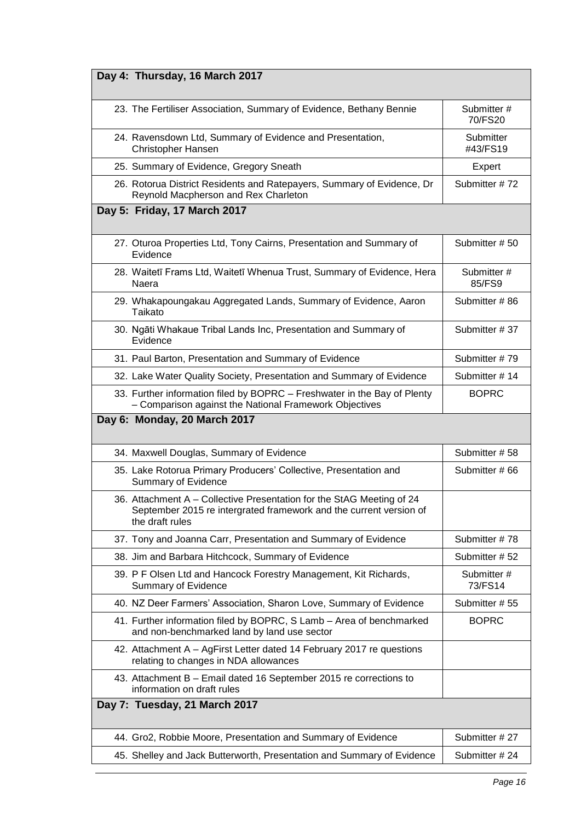<span id="page-15-3"></span><span id="page-15-2"></span><span id="page-15-1"></span><span id="page-15-0"></span>

| Day 4: Thursday, 16 March 2017                                                                                                                                 |                       |
|----------------------------------------------------------------------------------------------------------------------------------------------------------------|-----------------------|
| 23. The Fertiliser Association, Summary of Evidence, Bethany Bennie                                                                                            | Submitter#<br>70/FS20 |
| 24. Ravensdown Ltd, Summary of Evidence and Presentation,<br><b>Christopher Hansen</b>                                                                         | Submitter<br>#43/FS19 |
| 25. Summary of Evidence, Gregory Sneath                                                                                                                        | Expert                |
| 26. Rotorua District Residents and Ratepayers, Summary of Evidence, Dr<br>Reynold Macpherson and Rex Charleton                                                 | Submitter #72         |
| Day 5: Friday, 17 March 2017                                                                                                                                   |                       |
| 27. Oturoa Properties Ltd, Tony Cairns, Presentation and Summary of<br>Evidence                                                                                | Submitter #50         |
| 28. Waitetī Frams Ltd, Waitetī Whenua Trust, Summary of Evidence, Hera<br>Naera                                                                                | Submitter#<br>85/FS9  |
| 29. Whakapoungakau Aggregated Lands, Summary of Evidence, Aaron<br>Taikato                                                                                     | Submitter #86         |
| 30. Ngāti Whakaue Tribal Lands Inc, Presentation and Summary of<br>Evidence                                                                                    | Submitter #37         |
| 31. Paul Barton, Presentation and Summary of Evidence                                                                                                          | Submitter #79         |
| 32. Lake Water Quality Society, Presentation and Summary of Evidence                                                                                           | Submitter #14         |
| 33. Further information filed by BOPRC - Freshwater in the Bay of Plenty<br>- Comparison against the National Framework Objectives                             | <b>BOPRC</b>          |
| Day 6: Monday, 20 March 2017                                                                                                                                   |                       |
|                                                                                                                                                                |                       |
| 34. Maxwell Douglas, Summary of Evidence                                                                                                                       | Submitter #58         |
| 35. Lake Rotorua Primary Producers' Collective, Presentation and<br>Summary of Evidence                                                                        | Submitter #66         |
| 36. Attachment A – Collective Presentation for the StAG Meeting of 24<br>September 2015 re intergrated framework and the current version of<br>the draft rules |                       |
| 37. Tony and Joanna Carr, Presentation and Summary of Evidence                                                                                                 | Submitter #78         |
| 38. Jim and Barbara Hitchcock, Summary of Evidence                                                                                                             | Submitter #52         |
| 39. P F Olsen Ltd and Hancock Forestry Management, Kit Richards,<br>Summary of Evidence                                                                        | Submitter#<br>73/FS14 |
| 40. NZ Deer Farmers' Association, Sharon Love, Summary of Evidence                                                                                             | Submitter #55         |
| 41. Further information filed by BOPRC, S Lamb - Area of benchmarked<br>and non-benchmarked land by land use sector                                            | <b>BOPRC</b>          |
| 42. Attachment A - AgFirst Letter dated 14 February 2017 re questions<br>relating to changes in NDA allowances                                                 |                       |
| 43. Attachment B - Email dated 16 September 2015 re corrections to<br>information on draft rules                                                               |                       |
| Day 7: Tuesday, 21 March 2017                                                                                                                                  |                       |
| 44. Gro2, Robbie Moore, Presentation and Summary of Evidence                                                                                                   | Submitter #27         |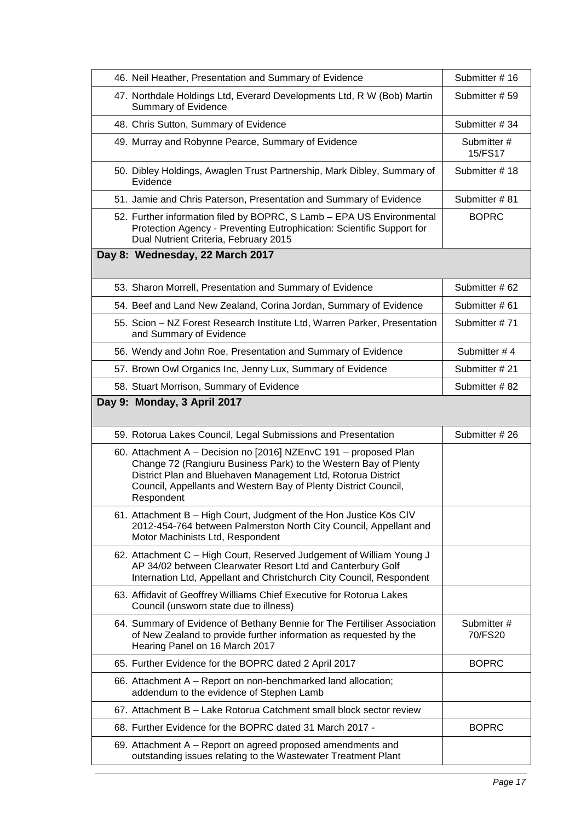<span id="page-16-1"></span><span id="page-16-0"></span>

| 46. Neil Heather, Presentation and Summary of Evidence                                                                                                                                                                                                                               | Submitter #16         |
|--------------------------------------------------------------------------------------------------------------------------------------------------------------------------------------------------------------------------------------------------------------------------------------|-----------------------|
| 47. Northdale Holdings Ltd, Everard Developments Ltd, R W (Bob) Martin<br><b>Summary of Evidence</b>                                                                                                                                                                                 | Submitter #59         |
| 48. Chris Sutton, Summary of Evidence                                                                                                                                                                                                                                                | Submitter #34         |
| 49. Murray and Robynne Pearce, Summary of Evidence                                                                                                                                                                                                                                   | Submitter#<br>15/FS17 |
| 50. Dibley Holdings, Awaglen Trust Partnership, Mark Dibley, Summary of<br>Evidence                                                                                                                                                                                                  | Submitter #18         |
| 51. Jamie and Chris Paterson, Presentation and Summary of Evidence                                                                                                                                                                                                                   | Submitter #81         |
| 52. Further information filed by BOPRC, S Lamb - EPA US Environmental<br>Protection Agency - Preventing Eutrophication: Scientific Support for<br>Dual Nutrient Criteria, February 2015                                                                                              | <b>BOPRC</b>          |
| Day 8: Wednesday, 22 March 2017                                                                                                                                                                                                                                                      |                       |
| 53. Sharon Morrell, Presentation and Summary of Evidence                                                                                                                                                                                                                             | Submitter #62         |
| 54. Beef and Land New Zealand, Corina Jordan, Summary of Evidence                                                                                                                                                                                                                    | Submitter #61         |
| 55. Scion - NZ Forest Research Institute Ltd, Warren Parker, Presentation<br>and Summary of Evidence                                                                                                                                                                                 | Submitter #71         |
| 56. Wendy and John Roe, Presentation and Summary of Evidence                                                                                                                                                                                                                         | Submitter #4          |
| 57. Brown Owl Organics Inc, Jenny Lux, Summary of Evidence                                                                                                                                                                                                                           | Submitter #21         |
| 58. Stuart Morrison, Summary of Evidence                                                                                                                                                                                                                                             | Submitter #82         |
| Day 9: Monday, 3 April 2017                                                                                                                                                                                                                                                          |                       |
| 59. Rotorua Lakes Council, Legal Submissions and Presentation                                                                                                                                                                                                                        | Submitter #26         |
| 60. Attachment A - Decision no [2016] NZEnvC 191 - proposed Plan<br>Change 72 (Rangiuru Business Park) to the Western Bay of Plenty<br>District Plan and Bluehaven Management Ltd, Rotorua District<br>Council, Appellants and Western Bay of Plenty District Council,<br>Respondent |                       |
| 61. Attachment B - High Court, Judgment of the Hon Justice Kōs CIV<br>2012-454-764 between Palmerston North City Council, Appellant and<br>Motor Machinists Ltd, Respondent                                                                                                          |                       |
| 62. Attachment C - High Court, Reserved Judgement of William Young J<br>AP 34/02 between Clearwater Resort Ltd and Canterbury Golf<br>Internation Ltd, Appellant and Christchurch City Council, Respondent                                                                           |                       |
| 63. Affidavit of Geoffrey Williams Chief Executive for Rotorua Lakes<br>Council (unsworn state due to illness)                                                                                                                                                                       |                       |
| 64. Summary of Evidence of Bethany Bennie for The Fertiliser Association<br>of New Zealand to provide further information as requested by the<br>Hearing Panel on 16 March 2017                                                                                                      | Submitter#<br>70/FS20 |
| 65. Further Evidence for the BOPRC dated 2 April 2017                                                                                                                                                                                                                                | <b>BOPRC</b>          |
| 66. Attachment A – Report on non-benchmarked land allocation;<br>addendum to the evidence of Stephen Lamb                                                                                                                                                                            |                       |
| 67. Attachment B - Lake Rotorua Catchment small block sector review                                                                                                                                                                                                                  |                       |
| 68. Further Evidence for the BOPRC dated 31 March 2017 -                                                                                                                                                                                                                             | <b>BOPRC</b>          |
| 69. Attachment A – Report on agreed proposed amendments and<br>outstanding issues relating to the Wastewater Treatment Plant                                                                                                                                                         |                       |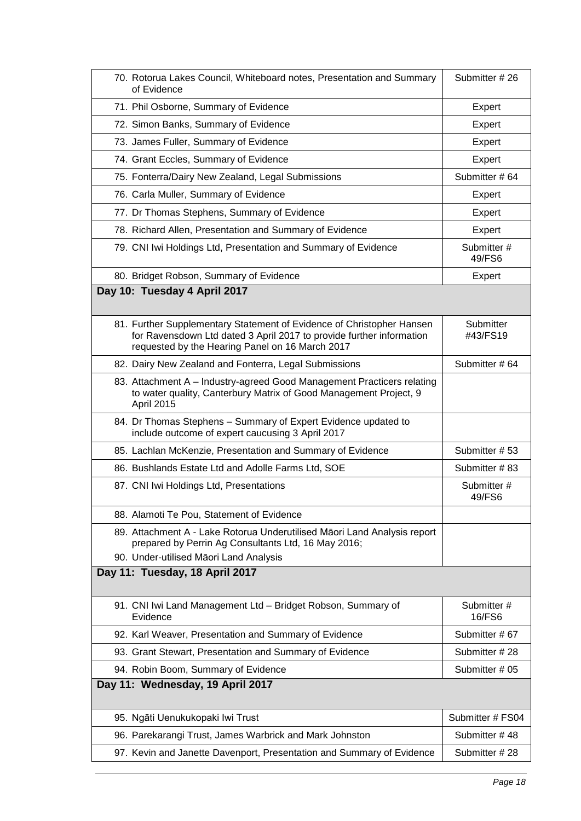<span id="page-17-2"></span><span id="page-17-1"></span><span id="page-17-0"></span>

| 70. Rotorua Lakes Council, Whiteboard notes, Presentation and Summary<br>of Evidence                                                                                                             | Submitter #26         |
|--------------------------------------------------------------------------------------------------------------------------------------------------------------------------------------------------|-----------------------|
| 71. Phil Osborne, Summary of Evidence                                                                                                                                                            | Expert                |
| 72. Simon Banks, Summary of Evidence                                                                                                                                                             | Expert                |
| 73. James Fuller, Summary of Evidence                                                                                                                                                            | Expert                |
| 74. Grant Eccles, Summary of Evidence                                                                                                                                                            | Expert                |
| 75. Fonterra/Dairy New Zealand, Legal Submissions                                                                                                                                                | Submitter #64         |
| 76. Carla Muller, Summary of Evidence                                                                                                                                                            | Expert                |
| 77. Dr Thomas Stephens, Summary of Evidence                                                                                                                                                      | Expert                |
| 78. Richard Allen, Presentation and Summary of Evidence                                                                                                                                          | Expert                |
| 79. CNI Iwi Holdings Ltd, Presentation and Summary of Evidence                                                                                                                                   | Submitter #<br>49/FS6 |
| 80. Bridget Robson, Summary of Evidence                                                                                                                                                          | Expert                |
| Day 10: Tuesday 4 April 2017                                                                                                                                                                     |                       |
| 81. Further Supplementary Statement of Evidence of Christopher Hansen<br>for Ravensdown Ltd dated 3 April 2017 to provide further information<br>requested by the Hearing Panel on 16 March 2017 | Submitter<br>#43/FS19 |
| 82. Dairy New Zealand and Fonterra, Legal Submissions                                                                                                                                            | Submitter #64         |
| 83. Attachment A - Industry-agreed Good Management Practicers relating<br>to water quality, Canterbury Matrix of Good Management Project, 9<br>April 2015                                        |                       |
| 84. Dr Thomas Stephens - Summary of Expert Evidence updated to<br>include outcome of expert caucusing 3 April 2017                                                                               |                       |
| 85. Lachlan McKenzie, Presentation and Summary of Evidence                                                                                                                                       | Submitter #53         |
| 86. Bushlands Estate Ltd and Adolle Farms Ltd, SOE                                                                                                                                               | Submitter #83         |
| 87. CNI Iwi Holdings Ltd, Presentations                                                                                                                                                          | Submitter#<br>49/FS6  |
| 88. Alamoti Te Pou, Statement of Evidence                                                                                                                                                        |                       |
| 89. Attachment A - Lake Rotorua Underutilised Māori Land Analysis report<br>prepared by Perrin Ag Consultants Ltd, 16 May 2016;<br>90. Under-utilised Māori Land Analysis                        |                       |
| Day 11: Tuesday, 18 April 2017                                                                                                                                                                   |                       |
| 91. CNI Iwi Land Management Ltd - Bridget Robson, Summary of<br>Evidence                                                                                                                         | Submitter#<br>16/FS6  |
| 92. Karl Weaver, Presentation and Summary of Evidence                                                                                                                                            | Submitter #67         |
| 93. Grant Stewart, Presentation and Summary of Evidence                                                                                                                                          | Submitter #28         |
| 94. Robin Boom, Summary of Evidence                                                                                                                                                              | Submitter # 05        |
| Day 11: Wednesday, 19 April 2017                                                                                                                                                                 |                       |
| 95. Ngāti Uenukukopaki lwi Trust                                                                                                                                                                 | Submitter # FS04      |
| 96. Parekarangi Trust, James Warbrick and Mark Johnston                                                                                                                                          | Submitter #48         |
| 97. Kevin and Janette Davenport, Presentation and Summary of Evidence                                                                                                                            | Submitter #28         |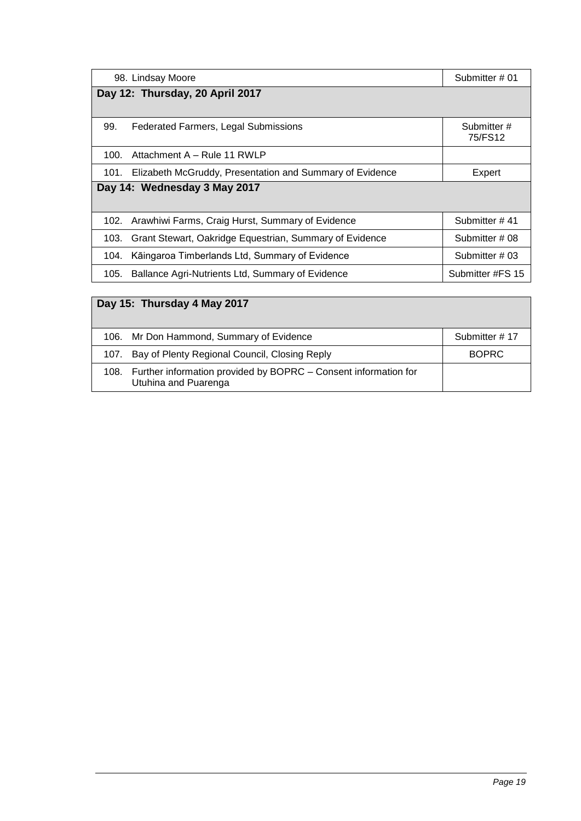<span id="page-18-0"></span>

| 98. Lindsay Moore                                                | Submitter # 01        |  |
|------------------------------------------------------------------|-----------------------|--|
| Day 12: Thursday, 20 April 2017                                  |                       |  |
|                                                                  |                       |  |
| 99.<br><b>Federated Farmers, Legal Submissions</b>               | Submitter#<br>75/FS12 |  |
| Attachment A - Rule 11 RWLP<br>100.                              |                       |  |
| Elizabeth McGruddy, Presentation and Summary of Evidence<br>101. | Expert                |  |
| Day 14: Wednesday 3 May 2017                                     |                       |  |
|                                                                  |                       |  |
| Arawhiwi Farms, Craig Hurst, Summary of Evidence<br>102.         | Submitter #41         |  |
| Grant Stewart, Oakridge Equestrian, Summary of Evidence<br>103.  | Submitter # 08        |  |
| Kāingaroa Timberlands Ltd, Summary of Evidence<br>104.           | Submitter # 03        |  |
| Ballance Agri-Nutrients Ltd, Summary of Evidence<br>105.         | Submitter #FS 15      |  |
|                                                                  |                       |  |

### <span id="page-18-2"></span><span id="page-18-1"></span>**Day 15: Thursday 4 May 2017**

| 106. Mr Don Hammond, Summary of Evidence                                                     | Submitter #17 |
|----------------------------------------------------------------------------------------------|---------------|
| 107. Bay of Plenty Regional Council, Closing Reply                                           | BOPRC         |
| 108. Further information provided by BOPRC – Consent information for<br>Utuhina and Puarenga |               |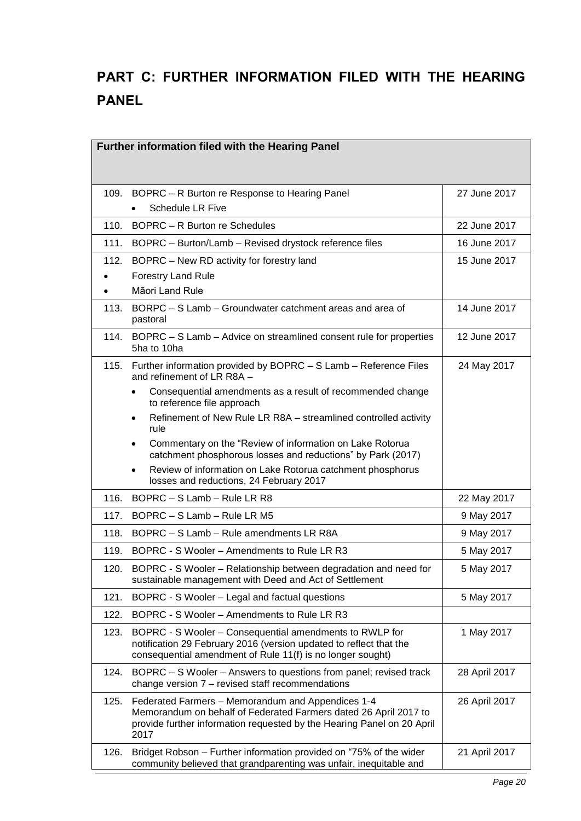# <span id="page-19-0"></span>**PART C: FURTHER INFORMATION FILED WITH THE HEARING PANEL**

<span id="page-19-1"></span>

| Further information filed with the Hearing Panel |                                                                                                                                                                                                         |               |  |  |
|--------------------------------------------------|---------------------------------------------------------------------------------------------------------------------------------------------------------------------------------------------------------|---------------|--|--|
|                                                  |                                                                                                                                                                                                         |               |  |  |
| 109.                                             | BOPRC - R Burton re Response to Hearing Panel                                                                                                                                                           | 27 June 2017  |  |  |
|                                                  | <b>Schedule LR Five</b>                                                                                                                                                                                 |               |  |  |
| 110.                                             | BOPRC - R Burton re Schedules                                                                                                                                                                           | 22 June 2017  |  |  |
| 111.                                             | BOPRC - Burton/Lamb - Revised drystock reference files                                                                                                                                                  | 16 June 2017  |  |  |
| 112.                                             | BOPRC - New RD activity for forestry land                                                                                                                                                               | 15 June 2017  |  |  |
|                                                  | <b>Forestry Land Rule</b>                                                                                                                                                                               |               |  |  |
|                                                  | Māori Land Rule                                                                                                                                                                                         |               |  |  |
| 113.                                             | BORPC - S Lamb - Groundwater catchment areas and area of<br>pastoral                                                                                                                                    | 14 June 2017  |  |  |
| 114.                                             | BOPRC - S Lamb - Advice on streamlined consent rule for properties<br>5ha to 10ha                                                                                                                       | 12 June 2017  |  |  |
| 115.                                             | Further information provided by BOPRC - S Lamb - Reference Files<br>and refinement of LR R8A -                                                                                                          | 24 May 2017   |  |  |
|                                                  | Consequential amendments as a result of recommended change<br>to reference file approach                                                                                                                |               |  |  |
|                                                  | Refinement of New Rule LR R8A - streamlined controlled activity<br>$\bullet$<br>rule                                                                                                                    |               |  |  |
|                                                  | Commentary on the "Review of information on Lake Rotorua<br>$\bullet$<br>catchment phosphorous losses and reductions" by Park (2017)                                                                    |               |  |  |
|                                                  | Review of information on Lake Rotorua catchment phosphorus<br>$\bullet$<br>losses and reductions, 24 February 2017                                                                                      |               |  |  |
| 116.                                             | BOPRC - S Lamb - Rule LR R8                                                                                                                                                                             | 22 May 2017   |  |  |
| 117.                                             | BOPRC - S Lamb - Rule LR M5                                                                                                                                                                             | 9 May 2017    |  |  |
| 118.                                             | BOPRC - S Lamb - Rule amendments LR R8A                                                                                                                                                                 | 9 May 2017    |  |  |
| 119.                                             | BOPRC - S Wooler – Amendments to Rule LR R3                                                                                                                                                             | 5 May 2017    |  |  |
| 120.                                             | BOPRC - S Wooler - Relationship between degradation and need for<br>sustainable management with Deed and Act of Settlement                                                                              | 5 May 2017    |  |  |
| 121.                                             | BOPRC - S Wooler – Legal and factual questions                                                                                                                                                          | 5 May 2017    |  |  |
| 122.                                             | BOPRC - S Wooler – Amendments to Rule LR R3                                                                                                                                                             |               |  |  |
| 123.                                             | BOPRC - S Wooler - Consequential amendments to RWLP for<br>notification 29 February 2016 (version updated to reflect that the<br>consequential amendment of Rule 11(f) is no longer sought)             | 1 May 2017    |  |  |
| 124.                                             | BOPRC – S Wooler – Answers to questions from panel; revised track<br>change version 7 - revised staff recommendations                                                                                   | 28 April 2017 |  |  |
| 125.                                             | Federated Farmers - Memorandum and Appendices 1-4<br>Memorandum on behalf of Federated Farmers dated 26 April 2017 to<br>provide further information requested by the Hearing Panel on 20 April<br>2017 | 26 April 2017 |  |  |
| 126.                                             | Bridget Robson - Further information provided on "75% of the wider<br>community believed that grandparenting was unfair, inequitable and                                                                | 21 April 2017 |  |  |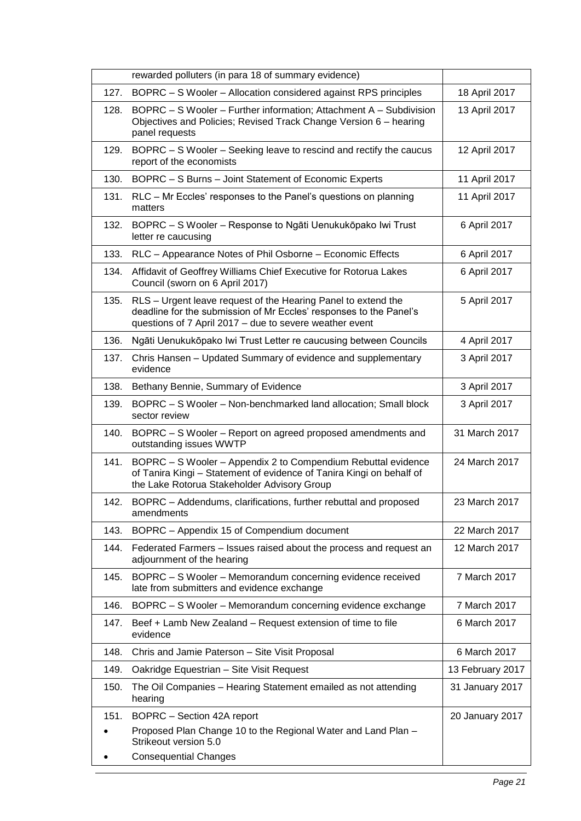|      | rewarded polluters (in para 18 of summary evidence)                                                                                                                                            |                  |
|------|------------------------------------------------------------------------------------------------------------------------------------------------------------------------------------------------|------------------|
| 127. | BOPRC - S Wooler - Allocation considered against RPS principles                                                                                                                                | 18 April 2017    |
| 128. | BOPRC - S Wooler - Further information; Attachment A - Subdivision<br>Objectives and Policies; Revised Track Change Version 6 - hearing<br>panel requests                                      | 13 April 2017    |
| 129. | BOPRC – S Wooler – Seeking leave to rescind and rectify the caucus<br>report of the economists                                                                                                 | 12 April 2017    |
| 130. | BOPRC - S Burns - Joint Statement of Economic Experts                                                                                                                                          | 11 April 2017    |
| 131. | RLC - Mr Eccles' responses to the Panel's questions on planning<br>matters                                                                                                                     | 11 April 2017    |
| 132. | BOPRC - S Wooler - Response to Ngāti Uenukukōpako Iwi Trust<br>letter re caucusing                                                                                                             | 6 April 2017     |
| 133. | RLC - Appearance Notes of Phil Osborne - Economic Effects                                                                                                                                      | 6 April 2017     |
| 134. | Affidavit of Geoffrey Williams Chief Executive for Rotorua Lakes<br>Council (sworn on 6 April 2017)                                                                                            | 6 April 2017     |
| 135. | RLS - Urgent leave request of the Hearing Panel to extend the<br>deadline for the submission of Mr Eccles' responses to the Panel's<br>questions of 7 April 2017 - due to severe weather event | 5 April 2017     |
| 136. | Ngāti Uenukukōpako lwi Trust Letter re caucusing between Councils                                                                                                                              | 4 April 2017     |
| 137. | Chris Hansen - Updated Summary of evidence and supplementary<br>evidence                                                                                                                       | 3 April 2017     |
| 138. | Bethany Bennie, Summary of Evidence                                                                                                                                                            | 3 April 2017     |
| 139. | BOPRC - S Wooler - Non-benchmarked land allocation; Small block<br>sector review                                                                                                               | 3 April 2017     |
| 140. | BOPRC – S Wooler – Report on agreed proposed amendments and<br>outstanding issues WWTP                                                                                                         | 31 March 2017    |
| 141. | BOPRC – S Wooler – Appendix 2 to Compendium Rebuttal evidence<br>of Tanira Kingi - Statement of evidence of Tanira Kingi on behalf of<br>the Lake Rotorua Stakeholder Advisory Group           | 24 March 2017    |
| 142. | BOPRC - Addendums, clarifications, further rebuttal and proposed<br>amendments                                                                                                                 | 23 March 2017    |
| 143. | BOPRC - Appendix 15 of Compendium document                                                                                                                                                     | 22 March 2017    |
| 144. | Federated Farmers – Issues raised about the process and request an<br>adjournment of the hearing                                                                                               | 12 March 2017    |
| 145. | BOPRC - S Wooler - Memorandum concerning evidence received<br>late from submitters and evidence exchange                                                                                       | 7 March 2017     |
| 146. | BOPRC - S Wooler - Memorandum concerning evidence exchange                                                                                                                                     | 7 March 2017     |
| 147. | Beef + Lamb New Zealand - Request extension of time to file<br>evidence                                                                                                                        | 6 March 2017     |
| 148. | Chris and Jamie Paterson - Site Visit Proposal                                                                                                                                                 | 6 March 2017     |
| 149. | Oakridge Equestrian - Site Visit Request                                                                                                                                                       | 13 February 2017 |
| 150. | The Oil Companies - Hearing Statement emailed as not attending<br>hearing                                                                                                                      | 31 January 2017  |
| 151. | BOPRC - Section 42A report<br>Proposed Plan Change 10 to the Regional Water and Land Plan -<br>Strikeout version 5.0<br><b>Consequential Changes</b>                                           | 20 January 2017  |
|      |                                                                                                                                                                                                |                  |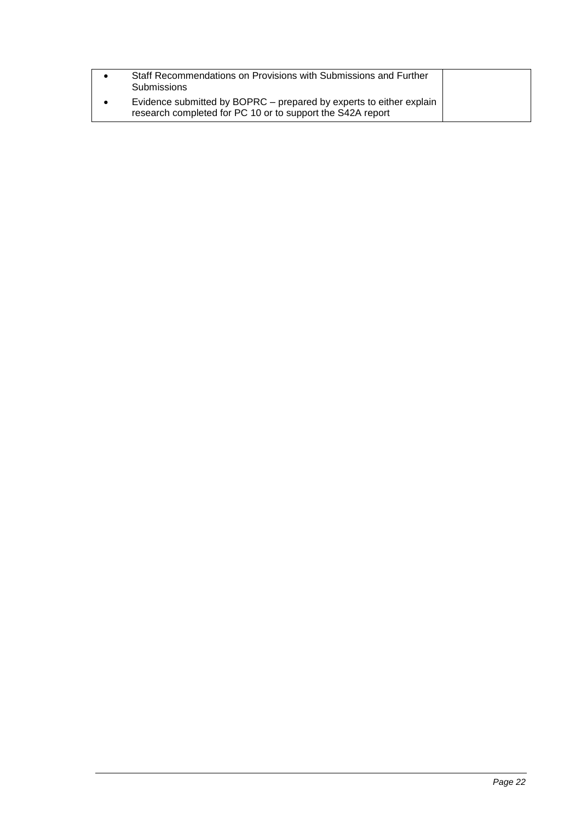| Staff Recommendations on Provisions with Submissions and Further<br><b>Submissions</b>                                            |  |
|-----------------------------------------------------------------------------------------------------------------------------------|--|
| Evidence submitted by BOPRC – prepared by experts to either explain<br>research completed for PC 10 or to support the S42A report |  |